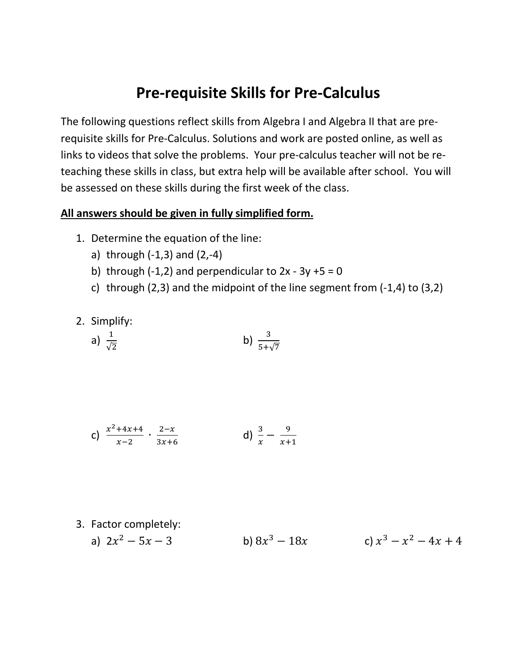## **Pre-requisite Skills for Pre-Calculus**

The following questions reflect skills from Algebra I and Algebra II that are prerequisite skills for Pre-Calculus. Solutions and work are posted online, as well as links to videos that solve the problems. Your pre-calculus teacher will not be reteaching these skills in class, but extra help will be available after school. You will be assessed on these skills during the first week of the class.

## **All answers should be given in fully simplified form.**

- 1. Determine the equation of the line:
	- a) through  $(-1,3)$  and  $(2,-4)$
	- b) through  $(-1,2)$  and perpendicular to  $2x 3y + 5 = 0$
	- c) through (2,3) and the midpoint of the line segment from (-1,4) to (3,2)
- 2. Simplify:

a) 
$$
\frac{1}{\sqrt{2}}
$$
 b)  $\frac{3}{5+\sqrt{7}}$ 

c) 
$$
\frac{x^2+4x+4}{x-2} \cdot \frac{2-x}{3x+6}
$$
 d)  $\frac{3}{x} - \frac{9}{x+1}$ 

- 3. Factor completely:
	- a)  $2x^2 5x 3$  b)  $8x^3 18x$  c)  $x^3 x^2 4x + 4$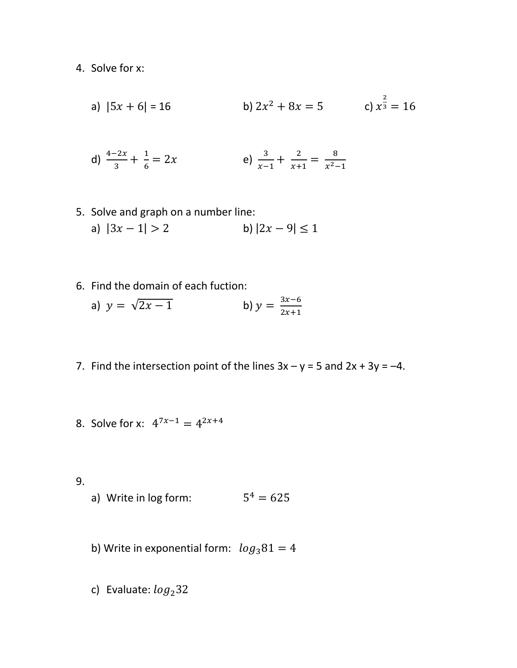4. Solve for x:

a) 
$$
|5x + 6| = 16
$$
  
b)  $2x^2 + 8x = 5$   
c)  $x^{\frac{2}{3}} = 16$ 

d) 
$$
\frac{4-2x}{3} + \frac{1}{6} = 2x
$$
 \t\t\t e)  $\frac{3}{x-1} + \frac{2}{x+1} = \frac{8}{x^2-1}$ 

- 5. Solve and graph on a number line: a)  $|3x - 1| > 2$  b)  $|2x - 9| \le 1$
- 6. Find the domain of each fuction: a)  $y = \sqrt{2x - 1}$  b)  $y = \frac{3x - 6}{2x + 1}$
- 7. Find the intersection point of the lines  $3x y = 5$  and  $2x + 3y = -4$ .
- 8. Solve for x:  $4^{7x-1} = 4^{2x+4}$

9.

- a) Write in log form:  $5^4 = 625$
- b) Write in exponential form:  $log_3 81 = 4$
- c) Evaluate:  $log<sub>2</sub>32$